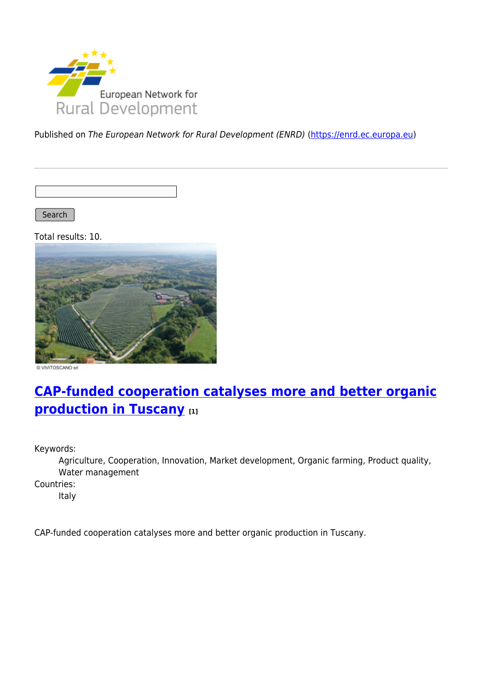

Published on The European Network for Rural Development (ENRD) [\(https://enrd.ec.europa.eu](https://enrd.ec.europa.eu))

Search

Total results: 10.



@ VIVITOSCANO srl

# **[CAP-funded cooperation catalyses more and better organic](https://enrd.ec.europa.eu/projects-practice/cap-funded-cooperation-catalyses-more-and-better-organic-production-tuscany_en) [production in Tuscany](https://enrd.ec.europa.eu/projects-practice/cap-funded-cooperation-catalyses-more-and-better-organic-production-tuscany_en) [1]**

Keywords:

Agriculture, Cooperation, Innovation, Market development, Organic farming, Product quality, Water management

Countries:

Italy

CAP-funded cooperation catalyses more and better organic production in Tuscany.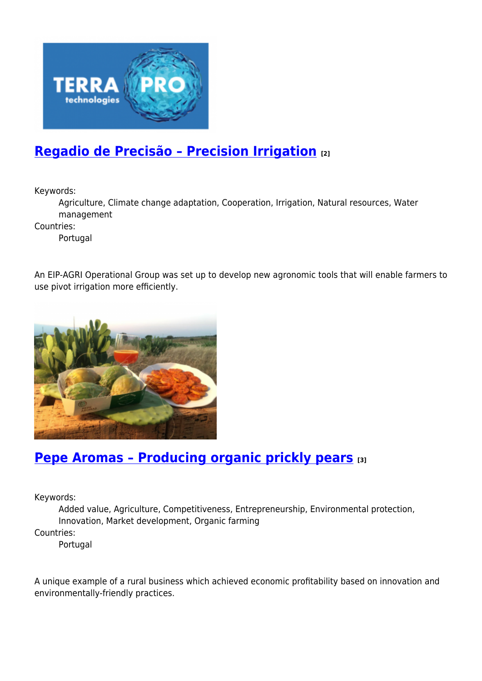

## **[Regadio de Precisão – Precision Irrigation](https://enrd.ec.europa.eu/projects-practice/regadio-de-precisao-precision-irrigation_en) [2]**

Keywords:

Agriculture, Climate change adaptation, Cooperation, Irrigation, Natural resources, Water management

Countries:

Portugal

An EIP-AGRI Operational Group was set up to develop new agronomic tools that will enable farmers to use pivot irrigation more efficiently.



### **[Pepe Aromas – Producing organic prickly pears](https://enrd.ec.europa.eu/projects-practice/pepe-aromas-producing-organic-prickly-pears_en) [3]**

Keywords:

Added value, Agriculture, Competitiveness, Entrepreneurship, Environmental protection, Innovation, Market development, Organic farming

Countries:

Portugal

A unique example of a rural business which achieved economic profitability based on innovation and environmentally-friendly practices.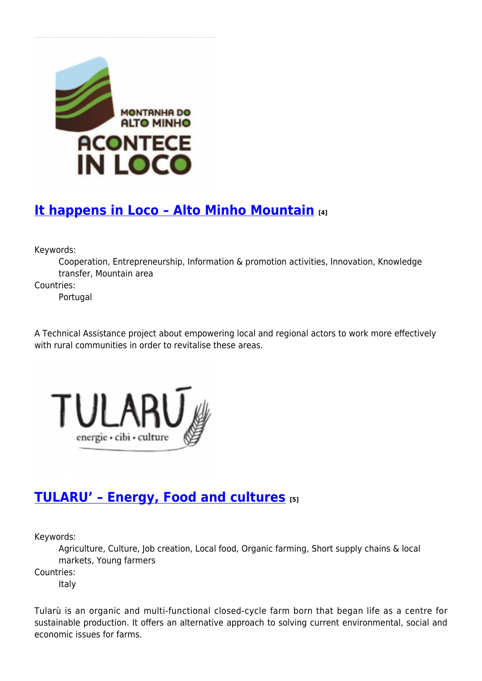

# **[It happens in Loco – Alto Minho Mountain](https://enrd.ec.europa.eu/projects-practice/it-happens-loco-alto-minho-mountain_en) [4]**

Keywords:

Cooperation, Entrepreneurship, Information & promotion activities, Innovation, Knowledge transfer, Mountain area

Countries:

Portugal

A Technical Assistance project about empowering local and regional actors to work more effectively with rural communities in order to revitalise these areas.



## **[TULARU' – Energy, Food and cultures](https://enrd.ec.europa.eu/projects-practice/tularu-energy-food-and-cultures_en) [5]**

Keywords:

Agriculture, Culture, Job creation, Local food, Organic farming, Short supply chains & local markets, Young farmers

Countries:

Italy

Tularù is an organic and multi-functional closed-cycle farm born that began life as a centre for sustainable production. It offers an alternative approach to solving current environmental, social and economic issues for farms.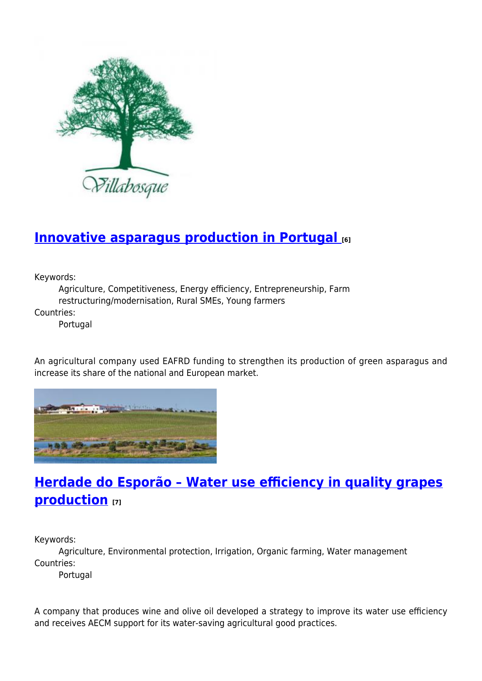

### **[Innovative asparagus production in Portugal](https://enrd.ec.europa.eu/projects-practice/innovative-asparagus-production-portugal_en) [6]**

Keywords:

Agriculture, Competitiveness, Energy efficiency, Entrepreneurship, Farm restructuring/modernisation, Rural SMEs, Young farmers

Countries:

Portugal

An agricultural company used EAFRD funding to strengthen its production of green asparagus and increase its share of the national and European market.



## **[Herdade do Esporão – Water use efficiency in quality grapes](https://enrd.ec.europa.eu/projects-practice/herdade-do-esporao-water-use-efficiency-quality-grapes-production_en) [production](https://enrd.ec.europa.eu/projects-practice/herdade-do-esporao-water-use-efficiency-quality-grapes-production_en) [7]**

Keywords:

Agriculture, Environmental protection, Irrigation, Organic farming, Water management Countries:

Portugal

A company that produces wine and olive oil developed a strategy to improve its water use efficiency and receives AECM support for its water-saving agricultural good practices.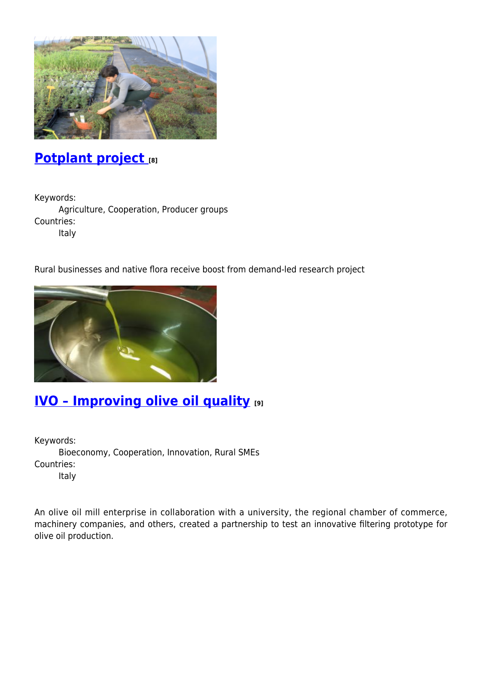

### **[Potplant project](https://enrd.ec.europa.eu/projects-practice/potplant-project_en) [8]**

Keywords:

Agriculture, Cooperation, Producer groups Countries: Italy

Rural businesses and native flora receive boost from demand-led research project



### **[IVO – Improving olive oil quality](https://enrd.ec.europa.eu/projects-practice/ivo-%E2%80%93-improving-olive-oil-quality-0_en) [9]**

Keywords: Bioeconomy, Cooperation, Innovation, Rural SMEs Countries: Italy

An olive oil mill enterprise in collaboration with a university, the regional chamber of commerce, machinery companies, and others, created a partnership to test an innovative filtering prototype for olive oil production.